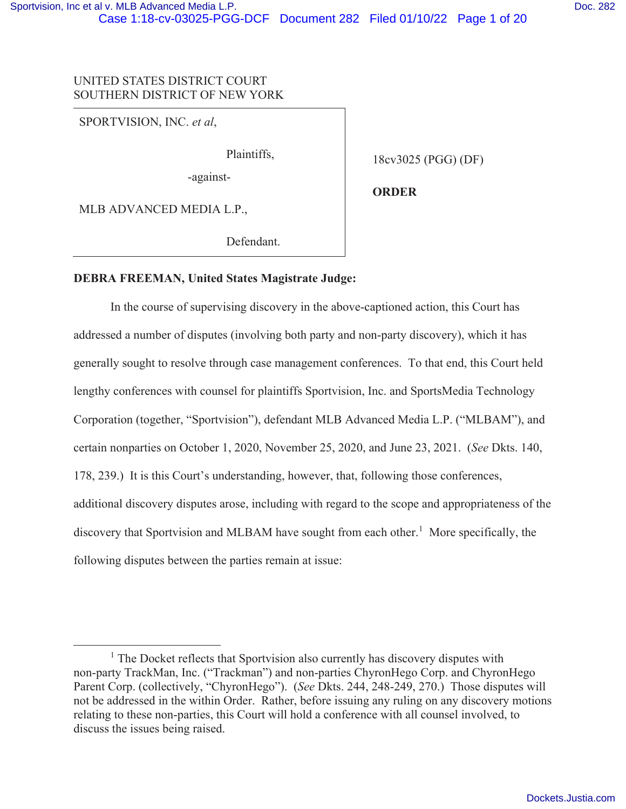# UNITED STATES DISTRICT COURT SOUTHERN DISTRICT OF NEW YORK

SPORTVISION, INC. *et al*,

Plaintiffs,

-against-

18cv3025 (PGG) (DF)

MLB ADVANCED MEDIA L.P.,

Defendant.

**ORDER** 

**DEBRA FREEMAN, United States Magistrate Judge:** 

In the course of supervising discovery in the above-captioned action, this Court has addressed a number of disputes (involving both party and non-party discovery), which it has generally sought to resolve through case management conferences. To that end, this Court held lengthy conferences with counsel for plaintiffs Sportvision, Inc. and SportsMedia Technology Corporation (together, "Sportvision"), defendant MLB Advanced Media L.P. ("MLBAM"), and certain nonparties on October 1, 2020, November 25, 2020, and June 23, 2021. (*See* Dkts. 140, 178, 239.) It is this Court's understanding, however, that, following those conferences, additional discovery disputes arose, including with regard to the scope and appropriateness of the discovery that Sportvision and MLBAM have sought from each other.<sup>1</sup> More specifically, the following disputes between the parties remain at issue:

<sup>&</sup>lt;sup>1</sup> The Docket reflects that Sportvision also currently has discovery disputes with non-party TrackMan, Inc. ("Trackman") and non-parties ChyronHego Corp. and ChyronHego Parent Corp. (collectively, "ChyronHego"). (*See* Dkts. 244, 248-249, 270.) Those disputes will not be addressed in the within Order. Rather, before issuing any ruling on any discovery motions relating to these non-parties, this Court will hold a conference with all counsel involved, to discuss the issues being raised.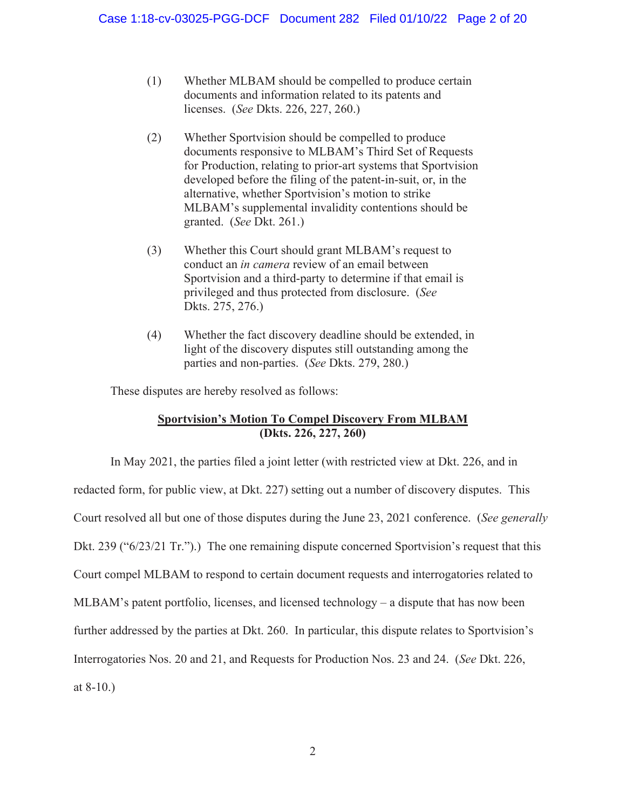- (1)Whether MLBAM should be compelled to produce certain documents and information related to its patents and licenses. (*See* Dkts. 226, 227, 260.)
- (2)Whether Sportvision should be compelled to produce documents responsive to MLBAM's Third Set of Requests for Production, relating to prior-art systems that Sportvision developed before the filing of the patent-in-suit, or, in the alternative, whether Sportvision's motion to strike MLBAM's supplemental invalidity contentions should be granted. (*See* Dkt. 261.)
- (3) Whether this Court should grant MLBAM's request to conduct an *in camera* review of an email between Sportvision and a third-party to determine if that email is privileged and thus protected from disclosure. (*See*  Dkts. 275, 276.)
- (4) Whether the fact discovery deadline should be extended, in light of the discovery disputes still outstanding among the parties and non-parties. (*See* Dkts. 279, 280.)

These disputes are hereby resolved as follows:

## **Sportvision's Motion To Compel Discovery From MLBAM (Dkts. 226, 227, 260)**

In May 2021, the parties filed a joint letter (with restricted view at Dkt. 226, and in redacted form, for public view, at Dkt. 227) setting out a number of discovery disputes. This Court resolved all but one of those disputes during the June 23, 2021 conference. (*See generally*  Dkt. 239 ("6/23/21 Tr.").) The one remaining dispute concerned Sportvision's request that this Court compel MLBAM to respond to certain document requests and interrogatories related to MLBAM's patent portfolio, licenses, and licensed technology – a dispute that has now been further addressed by the parties at Dkt. 260. In particular, this dispute relates to Sportvision's Interrogatories Nos. 20 and 21, and Requests for Production Nos. 23 and 24. (*See* Dkt. 226, at 8-10.)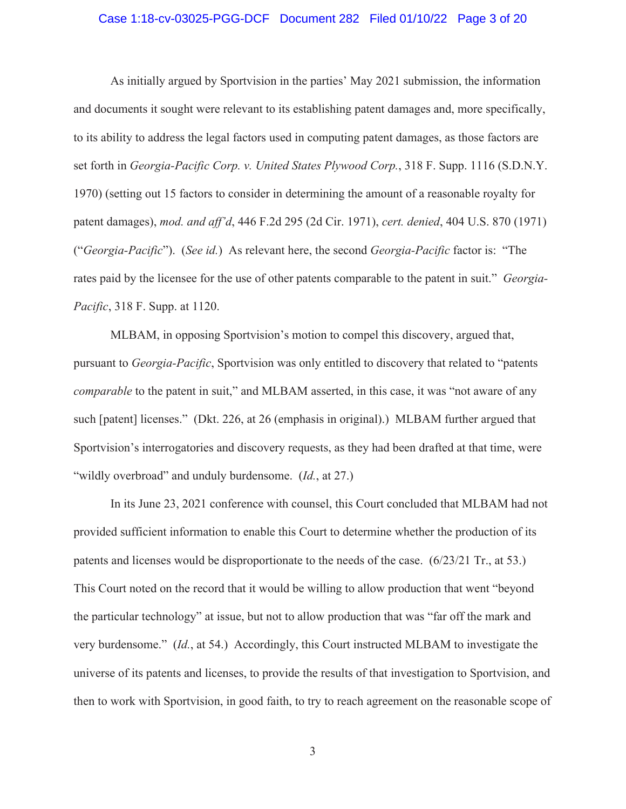#### Case 1:18-cv-03025-PGG-DCF Document 282 Filed 01/10/22 Page 3 of 20

As initially argued by Sportvision in the parties' May 2021 submission, the information and documents it sought were relevant to its establishing patent damages and, more specifically, to its ability to address the legal factors used in computing patent damages, as those factors are set forth in *Georgia-Pacific Corp. v. United States Plywood Corp.*, 318 F. Supp. 1116 (S.D.N.Y. 1970) (setting out 15 factors to consider in determining the amount of a reasonable royalty for patent damages), *mod. and aff'd*, 446 F.2d 295 (2d Cir. 1971), *cert. denied*, 404 U.S. 870 (1971) ("*Georgia-Pacific*"). (*See id.*) As relevant here, the second *Georgia-Pacific* factor is: "The rates paid by the licensee for the use of other patents comparable to the patent in suit." *Georgia-Pacific*, 318 F. Supp. at 1120.

MLBAM, in opposing Sportvision's motion to compel this discovery, argued that, pursuant to *Georgia-Pacific*, Sportvision was only entitled to discovery that related to "patents *comparable* to the patent in suit," and MLBAM asserted, in this case, it was "not aware of any such [patent] licenses." (Dkt. 226, at 26 (emphasis in original).) MLBAM further argued that Sportvision's interrogatories and discovery requests, as they had been drafted at that time, were "wildly overbroad" and unduly burdensome. (*Id.*, at 27.)

In its June 23, 2021 conference with counsel, this Court concluded that MLBAM had not provided sufficient information to enable this Court to determine whether the production of its patents and licenses would be disproportionate to the needs of the case. (6/23/21 Tr., at 53.) This Court noted on the record that it would be willing to allow production that went "beyond the particular technology" at issue, but not to allow production that was "far off the mark and very burdensome." (*Id.*, at 54.) Accordingly, this Court instructed MLBAM to investigate the universe of its patents and licenses, to provide the results of that investigation to Sportvision, and then to work with Sportvision, in good faith, to try to reach agreement on the reasonable scope of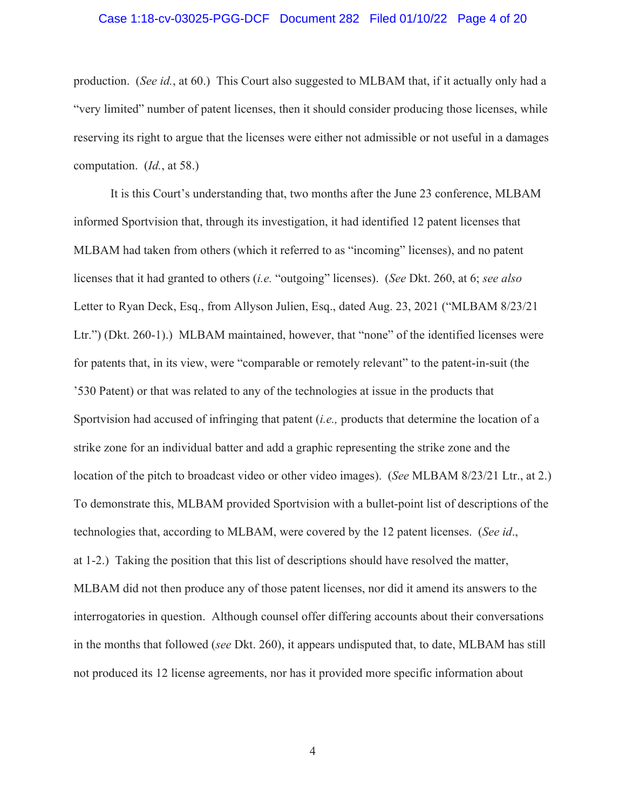#### Case 1:18-cv-03025-PGG-DCF Document 282 Filed 01/10/22 Page 4 of 20

production. (*See id.*, at 60.) This Court also suggested to MLBAM that, if it actually only had a "very limited" number of patent licenses, then it should consider producing those licenses, while reserving its right to argue that the licenses were either not admissible or not useful in a damages computation. (*Id.*, at 58.)

It is this Court's understanding that, two months after the June 23 conference, MLBAM informed Sportvision that, through its investigation, it had identified 12 patent licenses that MLBAM had taken from others (which it referred to as "incoming" licenses), and no patent licenses that it had granted to others (*i.e.* "outgoing" licenses). (*See* Dkt. 260, at 6; *see also* Letter to Ryan Deck, Esq., from Allyson Julien, Esq., dated Aug. 23, 2021 ("MLBAM 8/23/21 Ltr.") (Dkt. 260-1).) MLBAM maintained, however, that "none" of the identified licenses were for patents that, in its view, were "comparable or remotely relevant" to the patent-in-suit (the '530 Patent) or that was related to any of the technologies at issue in the products that Sportvision had accused of infringing that patent (*i.e.,* products that determine the location of a strike zone for an individual batter and add a graphic representing the strike zone and the location of the pitch to broadcast video or other video images). (*See* MLBAM 8/23/21 Ltr., at 2.) To demonstrate this, MLBAM provided Sportvision with a bullet-point list of descriptions of the technologies that, according to MLBAM, were covered by the 12 patent licenses. (*See id*., at 1-2.) Taking the position that this list of descriptions should have resolved the matter, MLBAM did not then produce any of those patent licenses, nor did it amend its answers to the interrogatories in question. Although counsel offer differing accounts about their conversations in the months that followed (*see* Dkt. 260), it appears undisputed that, to date, MLBAM has still not produced its 12 license agreements, nor has it provided more specific information about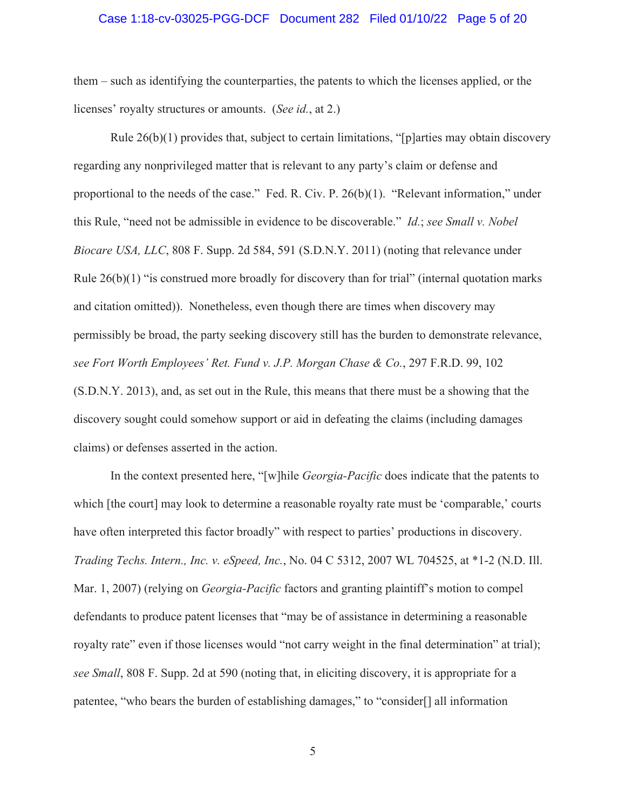#### Case 1:18-cv-03025-PGG-DCF Document 282 Filed 01/10/22 Page 5 of 20

them – such as identifying the counterparties, the patents to which the licenses applied, or the licenses' royalty structures or amounts. (*See id.*, at 2.)

Rule  $26(b)(1)$  provides that, subject to certain limitations, "[p]arties may obtain discovery regarding any nonprivileged matter that is relevant to any party's claim or defense and proportional to the needs of the case." Fed. R. Civ. P. 26(b)(1). "Relevant information," under this Rule, "need not be admissible in evidence to be discoverable." *Id.*; *see Small v. Nobel Biocare USA, LLC*, 808 F. Supp. 2d 584, 591 (S.D.N.Y. 2011) (noting that relevance under Rule  $26(b)(1)$  "is construed more broadly for discovery than for trial" (internal quotation marks and citation omitted)). Nonetheless, even though there are times when discovery may permissibly be broad, the party seeking discovery still has the burden to demonstrate relevance, *see Fort Worth Employees' Ret. Fund v. J.P. Morgan Chase & Co.*, 297 F.R.D. 99, 102 (S.D.N.Y. 2013), and, as set out in the Rule, this means that there must be a showing that the discovery sought could somehow support or aid in defeating the claims (including damages claims) or defenses asserted in the action.

In the context presented here, "[w]hile *Georgia-Pacific* does indicate that the patents to which [the court] may look to determine a reasonable royalty rate must be 'comparable,' courts have often interpreted this factor broadly" with respect to parties' productions in discovery. *Trading Techs. Intern., Inc. v. eSpeed, Inc.*, No. 04 C 5312, 2007 WL 704525, at \*1-2 (N.D. Ill. Mar. 1, 2007) (relying on *Georgia-Pacific* factors and granting plaintiff's motion to compel defendants to produce patent licenses that "may be of assistance in determining a reasonable royalty rate" even if those licenses would "not carry weight in the final determination" at trial); *see Small*, 808 F. Supp. 2d at 590 (noting that, in eliciting discovery, it is appropriate for a patentee, "who bears the burden of establishing damages," to "consider[] all information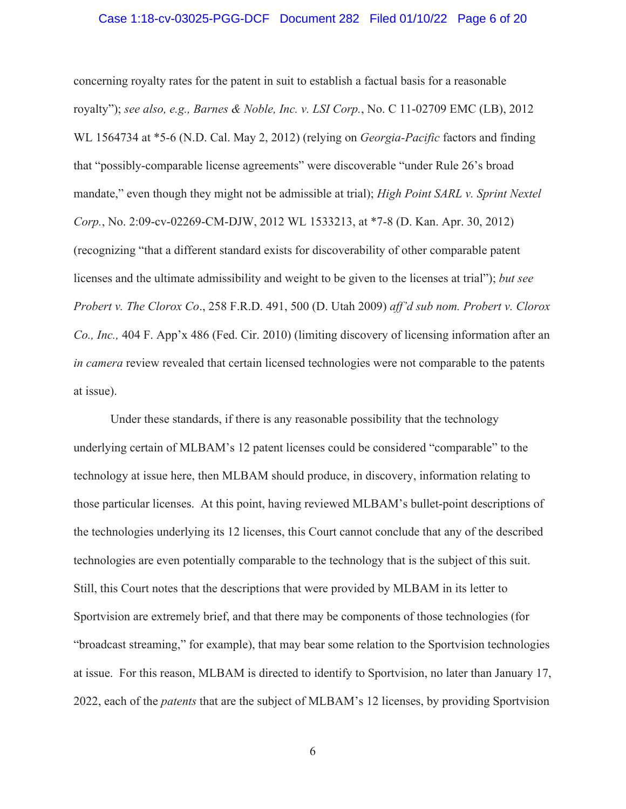#### Case 1:18-cv-03025-PGG-DCF Document 282 Filed 01/10/22 Page 6 of 20

concerning royalty rates for the patent in suit to establish a factual basis for a reasonable royalty"); *see also, e.g., Barnes & Noble, Inc. v. LSI Corp.*, No. C 11-02709 EMC (LB), 2012 WL 1564734 at \*5-6 (N.D. Cal. May 2, 2012) (relying on *Georgia-Pacific* factors and finding that "possibly-comparable license agreements" were discoverable "under Rule 26's broad mandate," even though they might not be admissible at trial); *High Point SARL v. Sprint Nextel Corp.*, No. 2:09-cv-02269-CM-DJW, 2012 WL 1533213, at \*7-8 (D. Kan. Apr. 30, 2012) (recognizing "that a different standard exists for discoverability of other comparable patent licenses and the ultimate admissibility and weight to be given to the licenses at trial"); *but see Probert v. The Clorox Co*., 258 F.R.D. 491, 500 (D. Utah 2009) *aff'd sub nom. Probert v. Clorox Co., Inc.,* 404 F. App'x 486 (Fed. Cir. 2010) (limiting discovery of licensing information after an *in camera* review revealed that certain licensed technologies were not comparable to the patents at issue).

Under these standards, if there is any reasonable possibility that the technology underlying certain of MLBAM's 12 patent licenses could be considered "comparable" to the technology at issue here, then MLBAM should produce, in discovery, information relating to those particular licenses. At this point, having reviewed MLBAM's bullet-point descriptions of the technologies underlying its 12 licenses, this Court cannot conclude that any of the described technologies are even potentially comparable to the technology that is the subject of this suit. Still, this Court notes that the descriptions that were provided by MLBAM in its letter to Sportvision are extremely brief, and that there may be components of those technologies (for "broadcast streaming," for example), that may bear some relation to the Sportvision technologies at issue. For this reason, MLBAM is directed to identify to Sportvision, no later than January 17, 2022, each of the *patents* that are the subject of MLBAM's 12 licenses, by providing Sportvision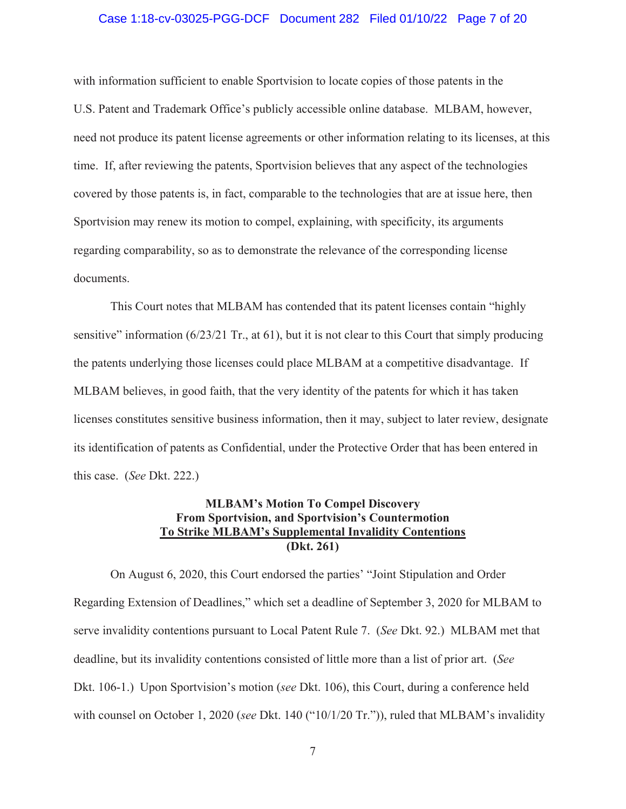#### Case 1:18-cv-03025-PGG-DCF Document 282 Filed 01/10/22 Page 7 of 20

with information sufficient to enable Sportvision to locate copies of those patents in the U.S. Patent and Trademark Office's publicly accessible online database. MLBAM, however, need not produce its patent license agreements or other information relating to its licenses, at this time. If, after reviewing the patents, Sportvision believes that any aspect of the technologies covered by those patents is, in fact, comparable to the technologies that are at issue here, then Sportvision may renew its motion to compel, explaining, with specificity, its arguments regarding comparability, so as to demonstrate the relevance of the corresponding license documents.

This Court notes that MLBAM has contended that its patent licenses contain "highly sensitive" information (6/23/21 Tr., at 61), but it is not clear to this Court that simply producing the patents underlying those licenses could place MLBAM at a competitive disadvantage. If MLBAM believes, in good faith, that the very identity of the patents for which it has taken licenses constitutes sensitive business information, then it may, subject to later review, designate its identification of patents as Confidential, under the Protective Order that has been entered in this case. (*See* Dkt. 222.)

## **MLBAM's Motion To Compel Discovery From Sportvision, and Sportvision's Countermotion To Strike MLBAM's Supplemental Invalidity Contentions (Dkt. 261)**

On August 6, 2020, this Court endorsed the parties' "Joint Stipulation and Order Regarding Extension of Deadlines," which set a deadline of September 3, 2020 for MLBAM to serve invalidity contentions pursuant to Local Patent Rule 7. (*See* Dkt. 92.) MLBAM met that deadline, but its invalidity contentions consisted of little more than a list of prior art. (*See*  Dkt. 106-1.) Upon Sportvision's motion (*see* Dkt. 106), this Court, during a conference held with counsel on October 1, 2020 (*see* Dkt. 140 ("10/1/20 Tr.")), ruled that MLBAM's invalidity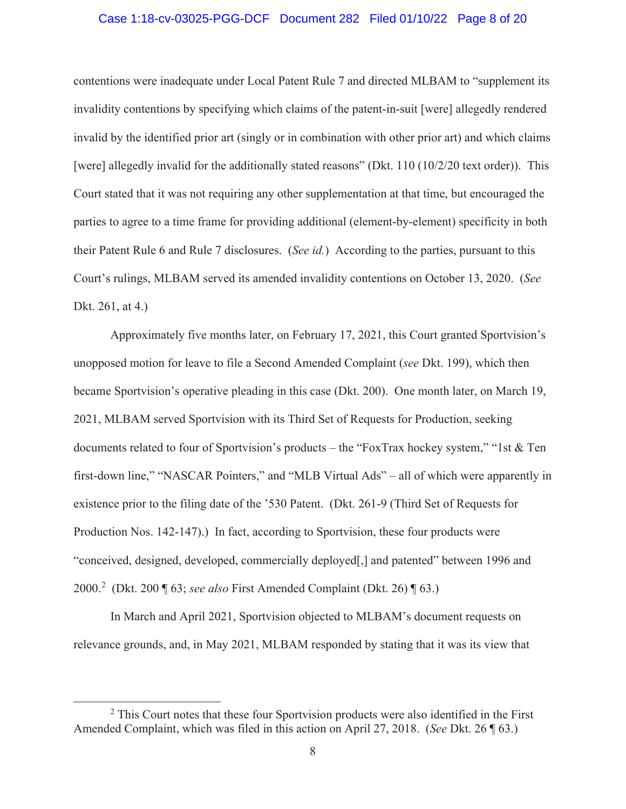#### Case 1:18-cv-03025-PGG-DCF Document 282 Filed 01/10/22 Page 8 of 20

contentions were inadequate under Local Patent Rule 7 and directed MLBAM to "supplement its invalidity contentions by specifying which claims of the patent-in-suit [were] allegedly rendered invalid by the identified prior art (singly or in combination with other prior art) and which claims [were] allegedly invalid for the additionally stated reasons" (Dkt. 110 (10/2/20 text order)). This Court stated that it was not requiring any other supplementation at that time, but encouraged the parties to agree to a time frame for providing additional (element-by-element) specificity in both their Patent Rule 6 and Rule 7 disclosures. (*See id.*) According to the parties, pursuant to this Court's rulings, MLBAM served its amended invalidity contentions on October 13, 2020. (*See*  Dkt. 261, at 4.)

Approximately five months later, on February 17, 2021, this Court granted Sportvision's unopposed motion for leave to file a Second Amended Complaint (*see* Dkt. 199), which then became Sportvision's operative pleading in this case (Dkt. 200). One month later, on March 19, 2021, MLBAM served Sportvision with its Third Set of Requests for Production, seeking documents related to four of Sportvision's products – the "FoxTrax hockey system," "1st & Ten first-down line," "NASCAR Pointers," and "MLB Virtual Ads" – all of which were apparently in existence prior to the filing date of the '530 Patent. (Dkt. 261-9 (Third Set of Requests for Production Nos. 142-147).) In fact, according to Sportvision, these four products were "conceived, designed, developed, commercially deployed[,] and patented" between 1996 and 2000.<sup>2</sup> (Dkt. 200 ¶ 63; *see also* First Amended Complaint (Dkt. 26) ¶ 63.)

In March and April 2021, Sportvision objected to MLBAM's document requests on relevance grounds, and, in May 2021, MLBAM responded by stating that it was its view that

<sup>&</sup>lt;sup>2</sup> This Court notes that these four Sportvision products were also identified in the First Amended Complaint, which was filed in this action on April 27, 2018. (*See* Dkt. 26 ¶ 63.)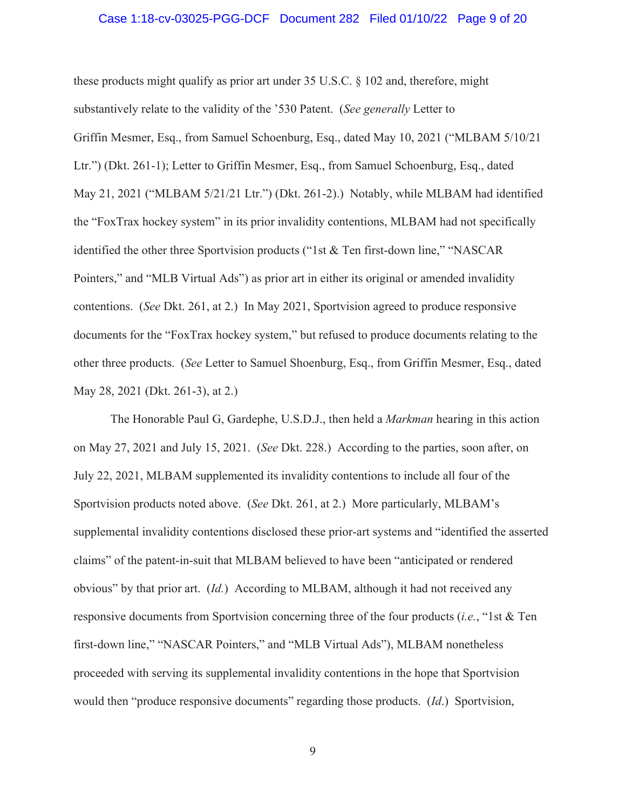#### Case 1:18-cv-03025-PGG-DCF Document 282 Filed 01/10/22 Page 9 of 20

these products might qualify as prior art under 35 U.S.C. § 102 and, therefore, might substantively relate to the validity of the '530 Patent. (*See generally* Letter to Griffin Mesmer, Esq., from Samuel Schoenburg, Esq., dated May 10, 2021 ("MLBAM 5/10/21 Ltr.") (Dkt. 261-1); Letter to Griffin Mesmer, Esq., from Samuel Schoenburg, Esq., dated May 21, 2021 ("MLBAM 5/21/21 Ltr.") (Dkt. 261-2).) Notably, while MLBAM had identified the "FoxTrax hockey system" in its prior invalidity contentions, MLBAM had not specifically identified the other three Sportvision products ("1st & Ten first-down line," "NASCAR Pointers," and "MLB Virtual Ads") as prior art in either its original or amended invalidity contentions. (*See* Dkt. 261, at 2.) In May 2021, Sportvision agreed to produce responsive documents for the "FoxTrax hockey system," but refused to produce documents relating to the other three products. (*See* Letter to Samuel Shoenburg, Esq., from Griffin Mesmer, Esq., dated May 28, 2021 (Dkt. 261-3), at 2.)

The Honorable Paul G, Gardephe, U.S.D.J., then held a *Markman* hearing in this action on May 27, 2021 and July 15, 2021. (*See* Dkt. 228.) According to the parties, soon after, on July 22, 2021, MLBAM supplemented its invalidity contentions to include all four of the Sportvision products noted above. (*See* Dkt. 261, at 2.) More particularly, MLBAM's supplemental invalidity contentions disclosed these prior-art systems and "identified the asserted claims" of the patent-in-suit that MLBAM believed to have been "anticipated or rendered obvious" by that prior art. (*Id.*) According to MLBAM, although it had not received any responsive documents from Sportvision concerning three of the four products (*i.e.*, "1st & Ten first-down line," "NASCAR Pointers," and "MLB Virtual Ads"), MLBAM nonetheless proceeded with serving its supplemental invalidity contentions in the hope that Sportvision would then "produce responsive documents" regarding those products. (*Id*.) Sportvision,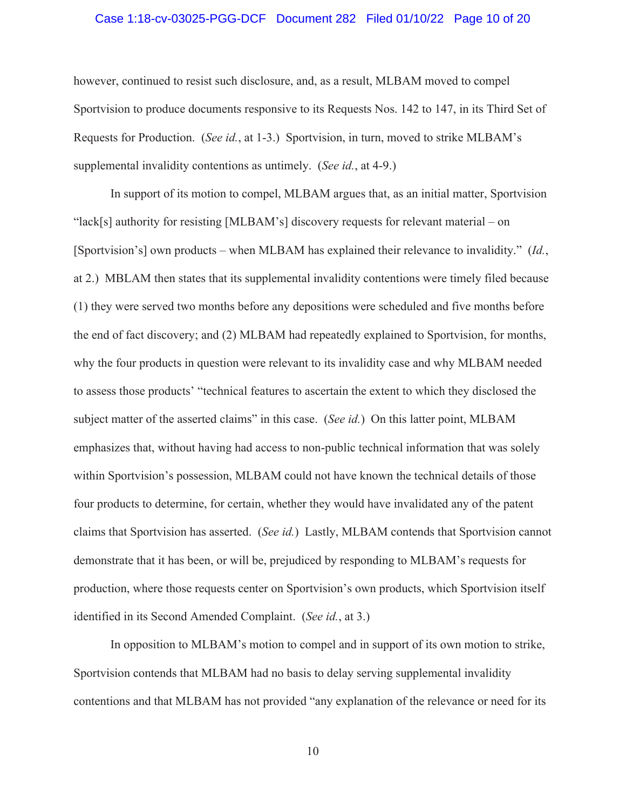#### Case 1:18-cv-03025-PGG-DCF Document 282 Filed 01/10/22 Page 10 of 20

however, continued to resist such disclosure, and, as a result, MLBAM moved to compel Sportvision to produce documents responsive to its Requests Nos. 142 to 147, in its Third Set of Requests for Production. (*See id.*, at 1-3.) Sportvision, in turn, moved to strike MLBAM's supplemental invalidity contentions as untimely. (*See id.*, at 4-9.)

In support of its motion to compel, MLBAM argues that, as an initial matter, Sportvision "lack[s] authority for resisting [MLBAM's] discovery requests for relevant material – on [Sportvision's] own products – when MLBAM has explained their relevance to invalidity." (*Id.*, at 2.) MBLAM then states that its supplemental invalidity contentions were timely filed because (1) they were served two months before any depositions were scheduled and five months before the end of fact discovery; and (2) MLBAM had repeatedly explained to Sportvision, for months, why the four products in question were relevant to its invalidity case and why MLBAM needed to assess those products' "technical features to ascertain the extent to which they disclosed the subject matter of the asserted claims" in this case. (*See id.*) On this latter point, MLBAM emphasizes that, without having had access to non-public technical information that was solely within Sportvision's possession, MLBAM could not have known the technical details of those four products to determine, for certain, whether they would have invalidated any of the patent claims that Sportvision has asserted. (*See id.*) Lastly, MLBAM contends that Sportvision cannot demonstrate that it has been, or will be, prejudiced by responding to MLBAM's requests for production, where those requests center on Sportvision's own products, which Sportvision itself identified in its Second Amended Complaint. (*See id.*, at 3.)

In opposition to MLBAM's motion to compel and in support of its own motion to strike, Sportvision contends that MLBAM had no basis to delay serving supplemental invalidity contentions and that MLBAM has not provided "any explanation of the relevance or need for its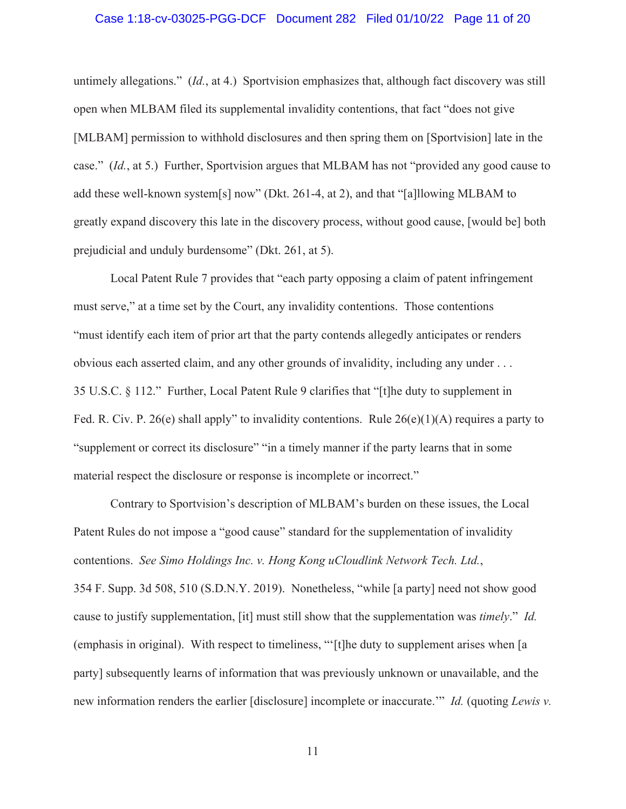#### Case 1:18-cv-03025-PGG-DCF Document 282 Filed 01/10/22 Page 11 of 20

untimely allegations." (*Id.*, at 4.) Sportvision emphasizes that, although fact discovery was still open when MLBAM filed its supplemental invalidity contentions, that fact "does not give [MLBAM] permission to withhold disclosures and then spring them on [Sportvision] late in the case." (*Id.*, at 5.) Further, Sportvision argues that MLBAM has not "provided any good cause to add these well-known system[s] now" (Dkt. 261-4, at 2), and that "[a]llowing MLBAM to greatly expand discovery this late in the discovery process, without good cause, [would be] both prejudicial and unduly burdensome" (Dkt. 261, at 5).

Local Patent Rule 7 provides that "each party opposing a claim of patent infringement must serve," at a time set by the Court, any invalidity contentions. Those contentions "must identify each item of prior art that the party contends allegedly anticipates or renders obvious each asserted claim, and any other grounds of invalidity, including any under . . . 35 U.S.C. § 112." Further, Local Patent Rule 9 clarifies that "[t]he duty to supplement in Fed. R. Civ. P. 26(e) shall apply" to invalidity contentions. Rule  $26(e)(1)(A)$  requires a party to "supplement or correct its disclosure" "in a timely manner if the party learns that in some material respect the disclosure or response is incomplete or incorrect."

Contrary to Sportvision's description of MLBAM's burden on these issues, the Local Patent Rules do not impose a "good cause" standard for the supplementation of invalidity contentions. *See Simo Holdings Inc. v. Hong Kong uCloudlink Network Tech. Ltd.*, 354 F. Supp. 3d 508, 510 (S.D.N.Y. 2019). Nonetheless, "while [a party] need not show good cause to justify supplementation, [it] must still show that the supplementation was *timely*." *Id.*  (emphasis in original). With respect to timeliness, "'[t]he duty to supplement arises when [a party] subsequently learns of information that was previously unknown or unavailable, and the new information renders the earlier [disclosure] incomplete or inaccurate.'" *Id.* (quoting *Lewis v.*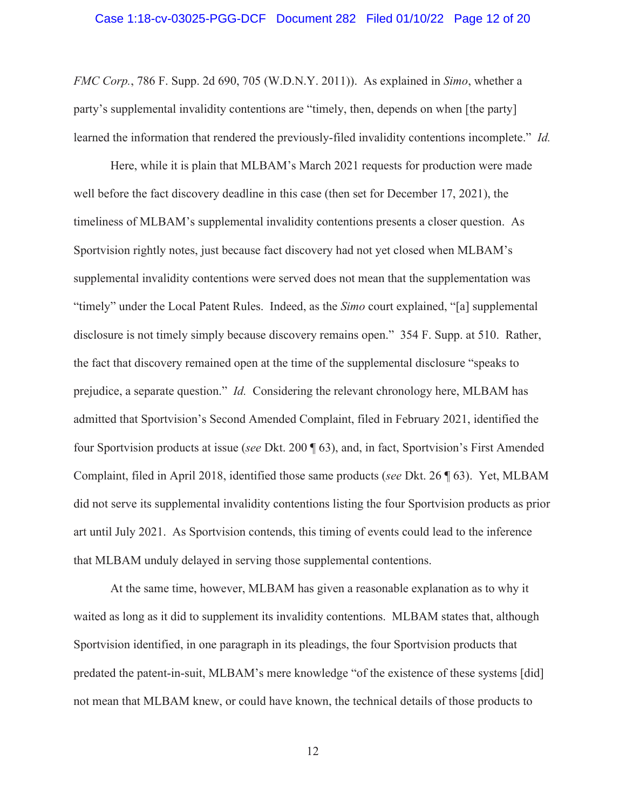#### Case 1:18-cv-03025-PGG-DCF Document 282 Filed 01/10/22 Page 12 of 20

*FMC Corp.*, 786 F. Supp. 2d 690, 705 (W.D.N.Y. 2011)). As explained in *Simo*, whether a party's supplemental invalidity contentions are "timely, then, depends on when [the party] learned the information that rendered the previously-filed invalidity contentions incomplete." *Id.*

Here, while it is plain that MLBAM's March 2021 requests for production were made well before the fact discovery deadline in this case (then set for December 17, 2021), the timeliness of MLBAM's supplemental invalidity contentions presents a closer question. As Sportvision rightly notes, just because fact discovery had not yet closed when MLBAM's supplemental invalidity contentions were served does not mean that the supplementation was "timely" under the Local Patent Rules. Indeed, as the *Simo* court explained, "[a] supplemental disclosure is not timely simply because discovery remains open." 354 F. Supp. at 510. Rather, the fact that discovery remained open at the time of the supplemental disclosure "speaks to prejudice, a separate question." *Id.* Considering the relevant chronology here, MLBAM has admitted that Sportvision's Second Amended Complaint, filed in February 2021, identified the four Sportvision products at issue (*see* Dkt. 200 ¶ 63), and, in fact, Sportvision's First Amended Complaint, filed in April 2018, identified those same products (*see* Dkt. 26 ¶ 63). Yet, MLBAM did not serve its supplemental invalidity contentions listing the four Sportvision products as prior art until July 2021. As Sportvision contends, this timing of events could lead to the inference that MLBAM unduly delayed in serving those supplemental contentions.

At the same time, however, MLBAM has given a reasonable explanation as to why it waited as long as it did to supplement its invalidity contentions. MLBAM states that, although Sportvision identified, in one paragraph in its pleadings, the four Sportvision products that predated the patent-in-suit, MLBAM's mere knowledge "of the existence of these systems [did] not mean that MLBAM knew, or could have known, the technical details of those products to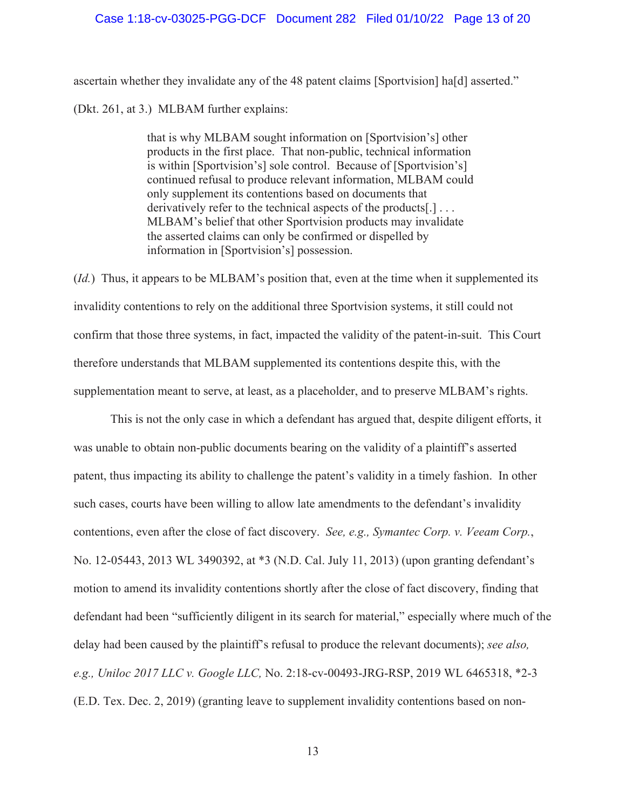#### Case 1:18-cv-03025-PGG-DCF Document 282 Filed 01/10/22 Page 13 of 20

ascertain whether they invalidate any of the 48 patent claims [Sportvision] ha[d] asserted." (Dkt. 261, at 3.) MLBAM further explains:

> that is why MLBAM sought information on [Sportvision's] other products in the first place. That non-public, technical information is within [Sportvision's] sole control. Because of [Sportvision's] continued refusal to produce relevant information, MLBAM could only supplement its contentions based on documents that derivatively refer to the technical aspects of the products[.] . . . MLBAM's belief that other Sportvision products may invalidate the asserted claims can only be confirmed or dispelled by information in [Sportvision's] possession.

(*Id.*) Thus, it appears to be MLBAM's position that, even at the time when it supplemented its invalidity contentions to rely on the additional three Sportvision systems, it still could not confirm that those three systems, in fact, impacted the validity of the patent-in-suit. This Court therefore understands that MLBAM supplemented its contentions despite this, with the supplementation meant to serve, at least, as a placeholder, and to preserve MLBAM's rights.

This is not the only case in which a defendant has argued that, despite diligent efforts, it was unable to obtain non-public documents bearing on the validity of a plaintiff's asserted patent, thus impacting its ability to challenge the patent's validity in a timely fashion. In other such cases, courts have been willing to allow late amendments to the defendant's invalidity contentions, even after the close of fact discovery. *See, e.g., Symantec Corp. v. Veeam Corp.*, No. 12-05443, 2013 WL 3490392, at \*3 (N.D. Cal. July 11, 2013) (upon granting defendant's motion to amend its invalidity contentions shortly after the close of fact discovery, finding that defendant had been "sufficiently diligent in its search for material," especially where much of the delay had been caused by the plaintiff's refusal to produce the relevant documents); *see also, e.g., Uniloc 2017 LLC v. Google LLC,* No. 2:18-cv-00493-JRG-RSP, 2019 WL 6465318, \*2-3 (E.D. Tex. Dec. 2, 2019) (granting leave to supplement invalidity contentions based on non-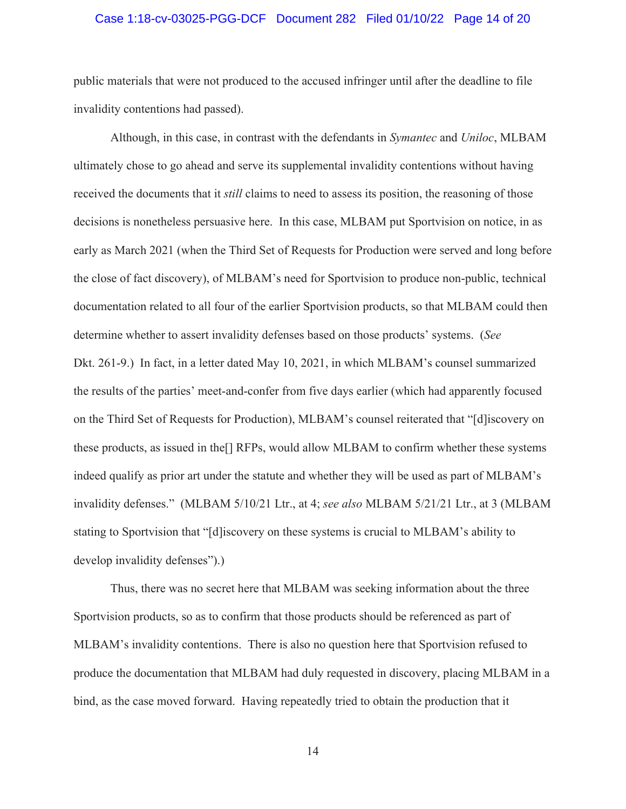#### Case 1:18-cv-03025-PGG-DCF Document 282 Filed 01/10/22 Page 14 of 20

public materials that were not produced to the accused infringer until after the deadline to file invalidity contentions had passed).

Although, in this case, in contrast with the defendants in *Symantec* and *Uniloc*, MLBAM ultimately chose to go ahead and serve its supplemental invalidity contentions without having received the documents that it *still* claims to need to assess its position, the reasoning of those decisions is nonetheless persuasive here. In this case, MLBAM put Sportvision on notice, in as early as March 2021 (when the Third Set of Requests for Production were served and long before the close of fact discovery), of MLBAM's need for Sportvision to produce non-public, technical documentation related to all four of the earlier Sportvision products, so that MLBAM could then determine whether to assert invalidity defenses based on those products' systems. (*See*  Dkt. 261-9.) In fact, in a letter dated May 10, 2021, in which MLBAM's counsel summarized the results of the parties' meet-and-confer from five days earlier (which had apparently focused on the Third Set of Requests for Production), MLBAM's counsel reiterated that "[d]iscovery on these products, as issued in the[] RFPs, would allow MLBAM to confirm whether these systems indeed qualify as prior art under the statute and whether they will be used as part of MLBAM's invalidity defenses." (MLBAM 5/10/21 Ltr., at 4; *see also* MLBAM 5/21/21 Ltr., at 3 (MLBAM stating to Sportvision that "[d]iscovery on these systems is crucial to MLBAM's ability to develop invalidity defenses").)

Thus, there was no secret here that MLBAM was seeking information about the three Sportvision products, so as to confirm that those products should be referenced as part of MLBAM's invalidity contentions. There is also no question here that Sportvision refused to produce the documentation that MLBAM had duly requested in discovery, placing MLBAM in a bind, as the case moved forward. Having repeatedly tried to obtain the production that it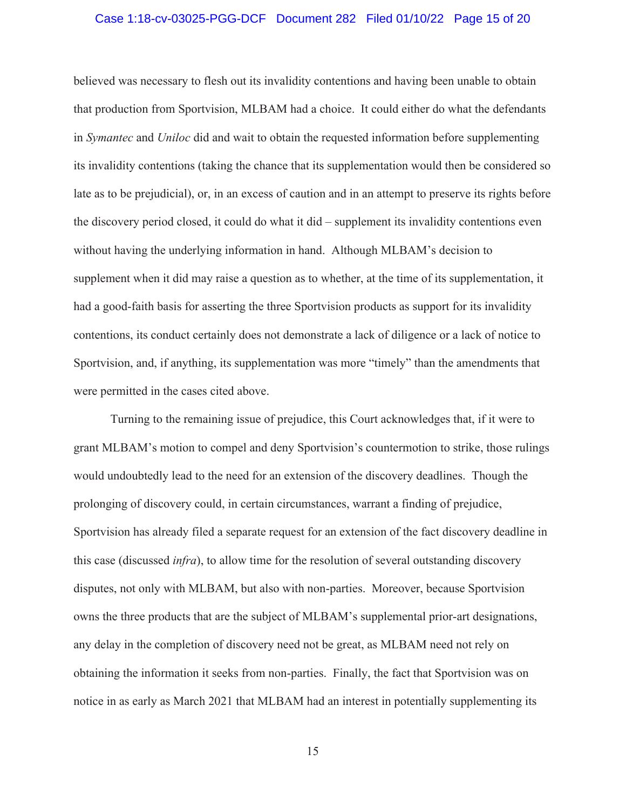#### Case 1:18-cv-03025-PGG-DCF Document 282 Filed 01/10/22 Page 15 of 20

believed was necessary to flesh out its invalidity contentions and having been unable to obtain that production from Sportvision, MLBAM had a choice. It could either do what the defendants in *Symantec* and *Uniloc* did and wait to obtain the requested information before supplementing its invalidity contentions (taking the chance that its supplementation would then be considered so late as to be prejudicial), or, in an excess of caution and in an attempt to preserve its rights before the discovery period closed, it could do what it did – supplement its invalidity contentions even without having the underlying information in hand. Although MLBAM's decision to supplement when it did may raise a question as to whether, at the time of its supplementation, it had a good-faith basis for asserting the three Sportvision products as support for its invalidity contentions, its conduct certainly does not demonstrate a lack of diligence or a lack of notice to Sportvision, and, if anything, its supplementation was more "timely" than the amendments that were permitted in the cases cited above.

Turning to the remaining issue of prejudice, this Court acknowledges that, if it were to grant MLBAM's motion to compel and deny Sportvision's countermotion to strike, those rulings would undoubtedly lead to the need for an extension of the discovery deadlines. Though the prolonging of discovery could, in certain circumstances, warrant a finding of prejudice, Sportvision has already filed a separate request for an extension of the fact discovery deadline in this case (discussed *infra*), to allow time for the resolution of several outstanding discovery disputes, not only with MLBAM, but also with non-parties. Moreover, because Sportvision owns the three products that are the subject of MLBAM's supplemental prior-art designations, any delay in the completion of discovery need not be great, as MLBAM need not rely on obtaining the information it seeks from non-parties. Finally, the fact that Sportvision was on notice in as early as March 2021 that MLBAM had an interest in potentially supplementing its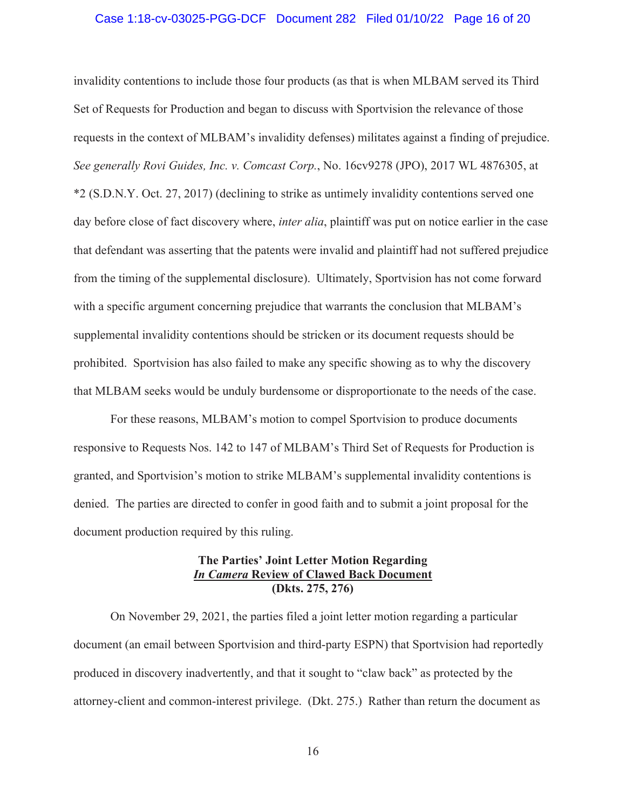#### Case 1:18-cv-03025-PGG-DCF Document 282 Filed 01/10/22 Page 16 of 20

invalidity contentions to include those four products (as that is when MLBAM served its Third Set of Requests for Production and began to discuss with Sportvision the relevance of those requests in the context of MLBAM's invalidity defenses) militates against a finding of prejudice. *See generally Rovi Guides, Inc. v. Comcast Corp.*, No. 16cv9278 (JPO), 2017 WL 4876305, at \*2 (S.D.N.Y. Oct. 27, 2017) (declining to strike as untimely invalidity contentions served one day before close of fact discovery where, *inter alia*, plaintiff was put on notice earlier in the case that defendant was asserting that the patents were invalid and plaintiff had not suffered prejudice from the timing of the supplemental disclosure). Ultimately, Sportvision has not come forward with a specific argument concerning prejudice that warrants the conclusion that MLBAM's supplemental invalidity contentions should be stricken or its document requests should be prohibited. Sportvision has also failed to make any specific showing as to why the discovery that MLBAM seeks would be unduly burdensome or disproportionate to the needs of the case.

For these reasons, MLBAM's motion to compel Sportvision to produce documents responsive to Requests Nos. 142 to 147 of MLBAM's Third Set of Requests for Production is granted, and Sportvision's motion to strike MLBAM's supplemental invalidity contentions is denied. The parties are directed to confer in good faith and to submit a joint proposal for the document production required by this ruling.

## **The Parties' Joint Letter Motion Regarding**  *In Camera* **Review of Clawed Back Document (Dkts. 275, 276)**

On November 29, 2021, the parties filed a joint letter motion regarding a particular document (an email between Sportvision and third-party ESPN) that Sportvision had reportedly produced in discovery inadvertently, and that it sought to "claw back" as protected by the attorney-client and common-interest privilege. (Dkt. 275.) Rather than return the document as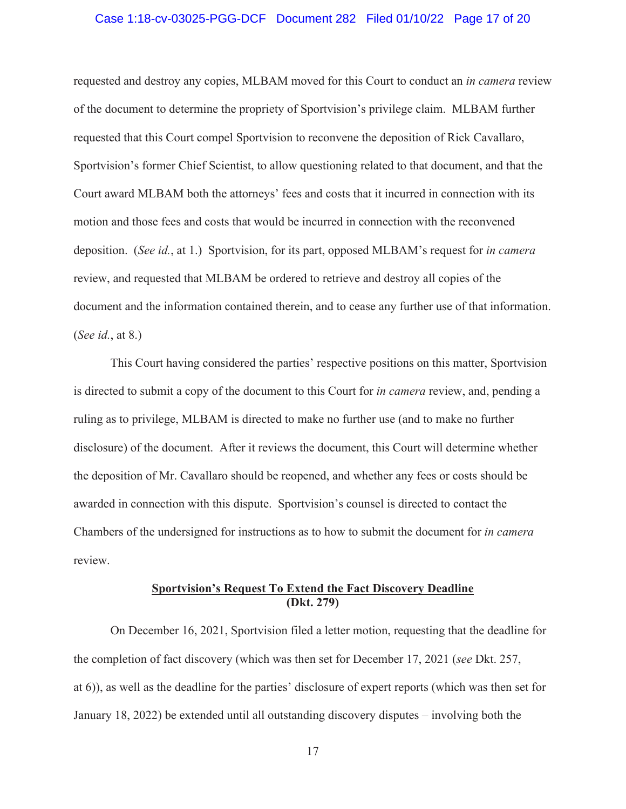#### Case 1:18-cv-03025-PGG-DCF Document 282 Filed 01/10/22 Page 17 of 20

requested and destroy any copies, MLBAM moved for this Court to conduct an *in camera* review of the document to determine the propriety of Sportvision's privilege claim. MLBAM further requested that this Court compel Sportvision to reconvene the deposition of Rick Cavallaro, Sportvision's former Chief Scientist, to allow questioning related to that document, and that the Court award MLBAM both the attorneys' fees and costs that it incurred in connection with its motion and those fees and costs that would be incurred in connection with the reconvened deposition. (*See id.*, at 1.) Sportvision, for its part, opposed MLBAM's request for *in camera*  review, and requested that MLBAM be ordered to retrieve and destroy all copies of the document and the information contained therein, and to cease any further use of that information. (*See id.*, at 8.)

This Court having considered the parties' respective positions on this matter, Sportvision is directed to submit a copy of the document to this Court for *in camera* review, and, pending a ruling as to privilege, MLBAM is directed to make no further use (and to make no further disclosure) of the document. After it reviews the document, this Court will determine whether the deposition of Mr. Cavallaro should be reopened, and whether any fees or costs should be awarded in connection with this dispute. Sportvision's counsel is directed to contact the Chambers of the undersigned for instructions as to how to submit the document for *in camera*  review.

## **Sportvision's Request To Extend the Fact Discovery Deadline (Dkt. 279)**

 On December 16, 2021, Sportvision filed a letter motion, requesting that the deadline for the completion of fact discovery (which was then set for December 17, 2021 (*see* Dkt. 257, at 6)), as well as the deadline for the parties' disclosure of expert reports (which was then set for January 18, 2022) be extended until all outstanding discovery disputes – involving both the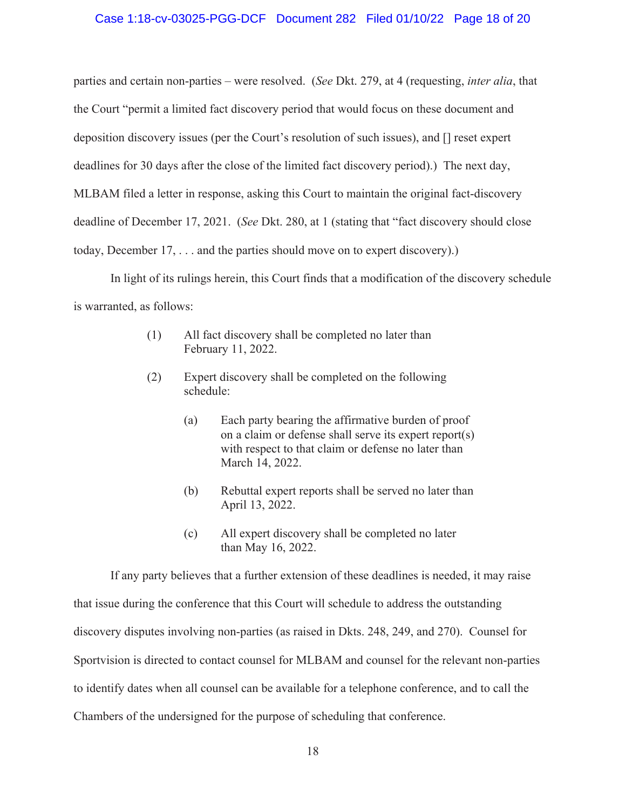#### Case 1:18-cv-03025-PGG-DCF Document 282 Filed 01/10/22 Page 18 of 20

parties and certain non-parties – were resolved. (*See* Dkt. 279, at 4 (requesting, *inter alia*, that the Court "permit a limited fact discovery period that would focus on these document and deposition discovery issues (per the Court's resolution of such issues), and [] reset expert deadlines for 30 days after the close of the limited fact discovery period).) The next day, MLBAM filed a letter in response, asking this Court to maintain the original fact-discovery deadline of December 17, 2021. (*See* Dkt. 280, at 1 (stating that "fact discovery should close today, December 17, . . . and the parties should move on to expert discovery).)

In light of its rulings herein, this Court finds that a modification of the discovery schedule is warranted, as follows:

- (1) All fact discovery shall be completed no later than February 11, 2022.
- (2) Expert discovery shall be completed on the following schedule:
	- (a) Each party bearing the affirmative burden of proof on a claim or defense shall serve its expert report(s) with respect to that claim or defense no later than March 14, 2022.
	- (b) Rebuttal expert reports shall be served no later than April 13, 2022.
	- (c) All expert discovery shall be completed no later than May 16, 2022.

If any party believes that a further extension of these deadlines is needed, it may raise that issue during the conference that this Court will schedule to address the outstanding discovery disputes involving non-parties (as raised in Dkts. 248, 249, and 270). Counsel for Sportvision is directed to contact counsel for MLBAM and counsel for the relevant non-parties to identify dates when all counsel can be available for a telephone conference, and to call the Chambers of the undersigned for the purpose of scheduling that conference.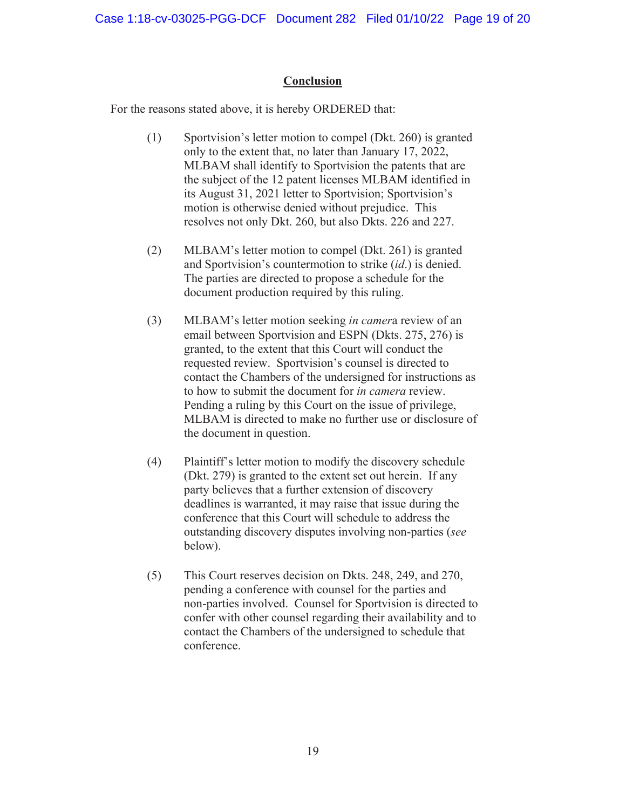## **Conclusion**

For the reasons stated above, it is hereby ORDERED that:

- (1) Sportvision's letter motion to compel (Dkt. 260) is granted only to the extent that, no later than January 17, 2022, MLBAM shall identify to Sportvision the patents that are the subject of the 12 patent licenses MLBAM identified in its August 31, 2021 letter to Sportvision; Sportvision's motion is otherwise denied without prejudice. This resolves not only Dkt. 260, but also Dkts. 226 and 227.
- (2) MLBAM's letter motion to compel (Dkt. 261) is granted and Sportvision's countermotion to strike (*id*.) is denied. The parties are directed to propose a schedule for the document production required by this ruling.
- (3) MLBAM's letter motion seeking *in camer*a review of an email between Sportvision and ESPN (Dkts. 275, 276) is granted, to the extent that this Court will conduct the requested review. Sportvision's counsel is directed to contact the Chambers of the undersigned for instructions as to how to submit the document for *in camera* review. Pending a ruling by this Court on the issue of privilege, MLBAM is directed to make no further use or disclosure of the document in question.
- (4) Plaintiff's letter motion to modify the discovery schedule (Dkt. 279) is granted to the extent set out herein. If any party believes that a further extension of discovery deadlines is warranted, it may raise that issue during the conference that this Court will schedule to address the outstanding discovery disputes involving non-parties (*see* below).
- (5) This Court reserves decision on Dkts. 248, 249, and 270, pending a conference with counsel for the parties and non-parties involved. Counsel for Sportvision is directed to confer with other counsel regarding their availability and to contact the Chambers of the undersigned to schedule that conference.